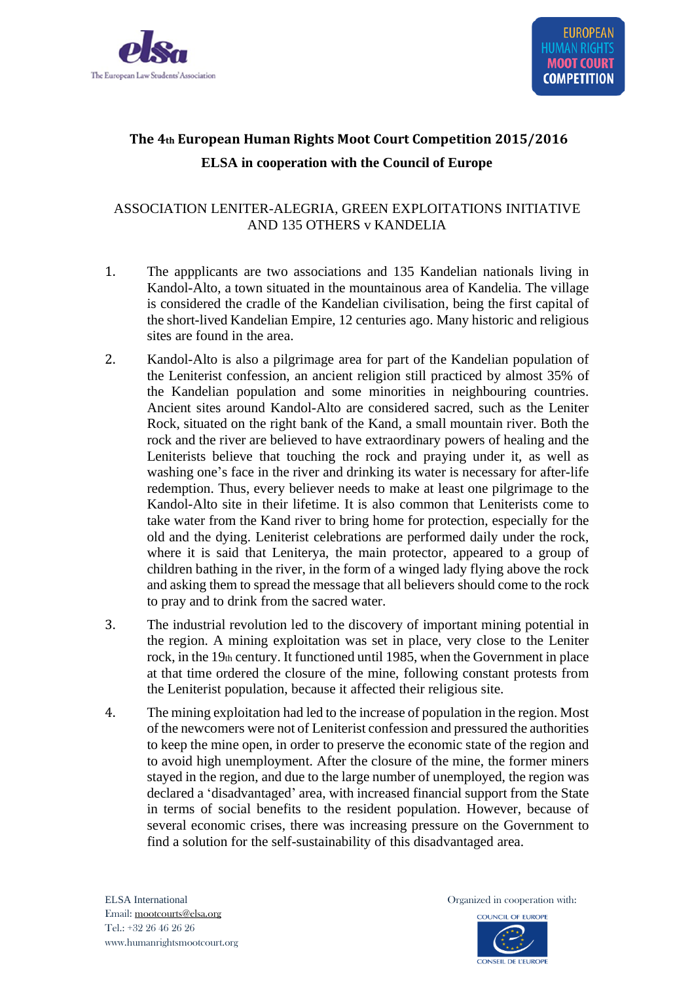

# **The 4th European Human Rights Moot Court Competition 2015/2016 ELSA in cooperation with the Council of Europe**

## ASSOCIATION LENITER-ALEGRIA, GREEN EXPLOITATIONS INITIATIVE AND 135 OTHERS v KANDELIA

- 1. The appplicants are two associations and 135 Kandelian nationals living in Kandol-Alto, a town situated in the mountainous area of Kandelia. The village is considered the cradle of the Kandelian civilisation, being the first capital of the short-lived Kandelian Empire, 12 centuries ago. Many historic and religious sites are found in the area.
- 2. Kandol-Alto is also a pilgrimage area for part of the Kandelian population of the Leniterist confession, an ancient religion still practiced by almost 35% of the Kandelian population and some minorities in neighbouring countries. Ancient sites around Kandol-Alto are considered sacred, such as the Leniter Rock, situated on the right bank of the Kand, a small mountain river. Both the rock and the river are believed to have extraordinary powers of healing and the Leniterists believe that touching the rock and praying under it, as well as washing one's face in the river and drinking its water is necessary for after-life redemption. Thus, every believer needs to make at least one pilgrimage to the Kandol-Alto site in their lifetime. It is also common that Leniterists come to take water from the Kand river to bring home for protection, especially for the old and the dying. Leniterist celebrations are performed daily under the rock, where it is said that Leniterya, the main protector, appeared to a group of children bathing in the river, in the form of a winged lady flying above the rock and asking them to spread the message that all believers should come to the rock to pray and to drink from the sacred water.
- 3. The industrial revolution led to the discovery of important mining potential in the region. A mining exploitation was set in place, very close to the Leniter rock, in the 19th century. It functioned until 1985, when the Government in place at that time ordered the closure of the mine, following constant protests from the Leniterist population, because it affected their religious site.
- 4. The mining exploitation had led to the increase of population in the region. Most of the newcomers were not of Leniterist confession and pressured the authorities to keep the mine open, in order to preserve the economic state of the region and to avoid high unemployment. After the closure of the mine, the former miners stayed in the region, and due to the large number of unemployed, the region was declared a 'disadvantaged' area, with increased financial support from the State in terms of social benefits to the resident population. However, because of several economic crises, there was increasing pressure on the Government to find a solution for the self-sustainability of this disadvantaged area.

ELSA International **Calcular Contract Contract Contract Contract Contract Contract Contract Contract Contract Contract Contract Contract Contract Contract Contract Contract Contract Contract Contract Contract Contract Cont** 

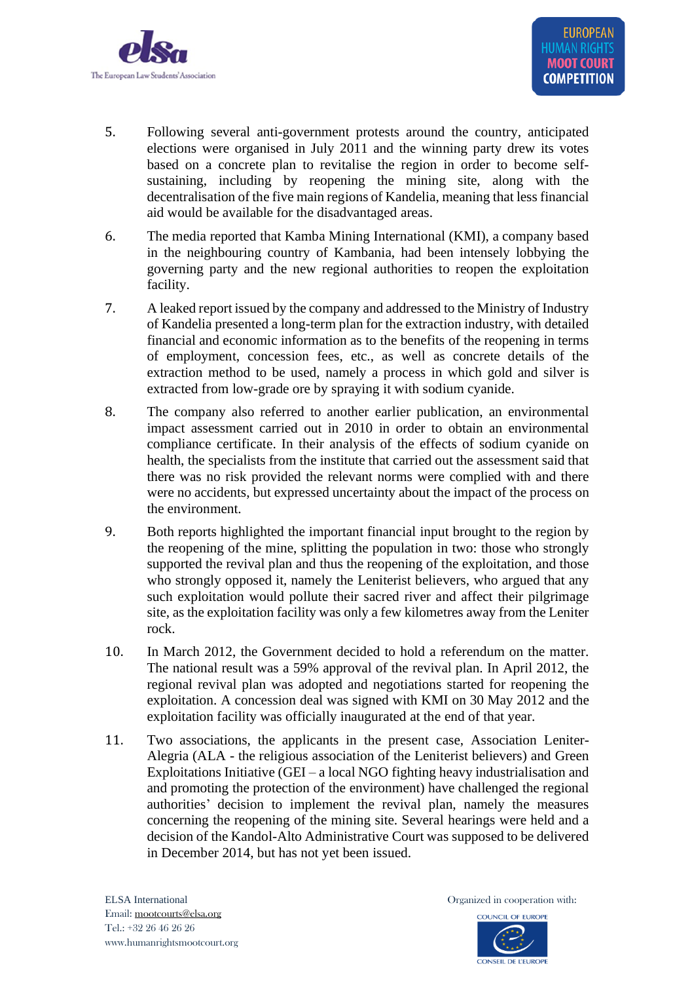

- 5. Following several anti-government protests around the country, anticipated elections were organised in July 2011 and the winning party drew its votes based on a concrete plan to revitalise the region in order to become selfsustaining, including by reopening the mining site, along with the decentralisation of the five main regions of Kandelia, meaning that less financial aid would be available for the disadvantaged areas.
- 6. The media reported that Kamba Mining International (KMI), a company based in the neighbouring country of Kambania, had been intensely lobbying the governing party and the new regional authorities to reopen the exploitation facility.
- 7. A leaked report issued by the company and addressed to the Ministry of Industry of Kandelia presented a long-term plan for the extraction industry, with detailed financial and economic information as to the benefits of the reopening in terms of employment, concession fees, etc., as well as concrete details of the extraction method to be used, namely a process in which gold and silver is extracted from low-grade ore by spraying it with sodium cyanide.
- 8. The company also referred to another earlier publication, an environmental impact assessment carried out in 2010 in order to obtain an environmental compliance certificate. In their analysis of the effects of sodium cyanide on health, the specialists from the institute that carried out the assessment said that there was no risk provided the relevant norms were complied with and there were no accidents, but expressed uncertainty about the impact of the process on the environment.
- 9. Both reports highlighted the important financial input brought to the region by the reopening of the mine, splitting the population in two: those who strongly supported the revival plan and thus the reopening of the exploitation, and those who strongly opposed it, namely the Leniterist believers, who argued that any such exploitation would pollute their sacred river and affect their pilgrimage site, as the exploitation facility was only a few kilometres away from the Leniter rock.
- 10. In March 2012, the Government decided to hold a referendum on the matter. The national result was a 59% approval of the revival plan. In April 2012, the regional revival plan was adopted and negotiations started for reopening the exploitation. A concession deal was signed with KMI on 30 May 2012 and the exploitation facility was officially inaugurated at the end of that year.
- 11. Two associations, the applicants in the present case, Association Leniter-Alegria (ALA - the religious association of the Leniterist believers) and Green Exploitations Initiative (GEI – a local NGO fighting heavy industrialisation and and promoting the protection of the environment) have challenged the regional authorities' decision to implement the revival plan, namely the measures concerning the reopening of the mining site. Several hearings were held and a decision of the Kandol-Alto Administrative Court was supposed to be delivered in December 2014, but has not yet been issued.

ELSA International **Contract in Contract in Contract Contract in Contract Contract Contract Contract Contract Contract Contract Contract Contract Contract Contract Contract Contract Contract Contract Contract Contract Cont** 

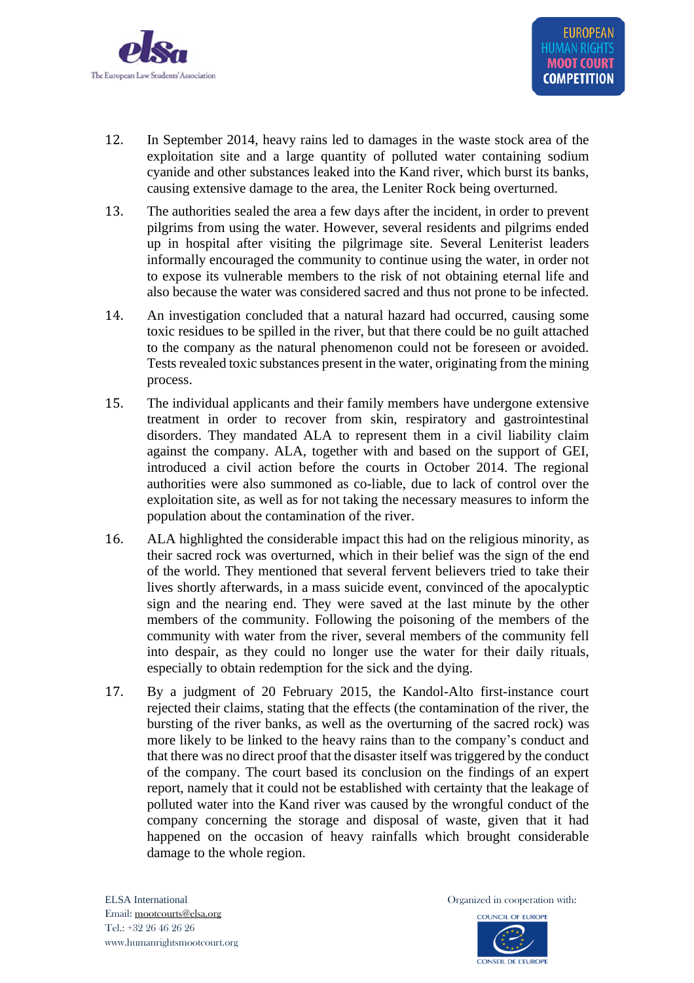

- 12. In September 2014, heavy rains led to damages in the waste stock area of the exploitation site and a large quantity of polluted water containing sodium cyanide and other substances leaked into the Kand river, which burst its banks, causing extensive damage to the area, the Leniter Rock being overturned.
- 13. The authorities sealed the area a few days after the incident, in order to prevent pilgrims from using the water. However, several residents and pilgrims ended up in hospital after visiting the pilgrimage site. Several Leniterist leaders informally encouraged the community to continue using the water, in order not to expose its vulnerable members to the risk of not obtaining eternal life and also because the water was considered sacred and thus not prone to be infected.
- 14. An investigation concluded that a natural hazard had occurred, causing some toxic residues to be spilled in the river, but that there could be no guilt attached to the company as the natural phenomenon could not be foreseen or avoided. Tests revealed toxic substances present in the water, originating from the mining process.
- 15. The individual applicants and their family members have undergone extensive treatment in order to recover from skin, respiratory and gastrointestinal disorders. They mandated ALA to represent them in a civil liability claim against the company. ALA, together with and based on the support of GEI, introduced a civil action before the courts in October 2014. The regional authorities were also summoned as co-liable, due to lack of control over the exploitation site, as well as for not taking the necessary measures to inform the population about the contamination of the river.
- 16. ALA highlighted the considerable impact this had on the religious minority, as their sacred rock was overturned, which in their belief was the sign of the end of the world. They mentioned that several fervent believers tried to take their lives shortly afterwards, in a mass suicide event, convinced of the apocalyptic sign and the nearing end. They were saved at the last minute by the other members of the community. Following the poisoning of the members of the community with water from the river, several members of the community fell into despair, as they could no longer use the water for their daily rituals, especially to obtain redemption for the sick and the dying.
- 17. By a judgment of 20 February 2015, the Kandol-Alto first-instance court rejected their claims, stating that the effects (the contamination of the river, the bursting of the river banks, as well as the overturning of the sacred rock) was more likely to be linked to the heavy rains than to the company's conduct and that there was no direct proof that the disaster itself was triggered by the conduct of the company. The court based its conclusion on the findings of an expert report, namely that it could not be established with certainty that the leakage of polluted water into the Kand river was caused by the wrongful conduct of the company concerning the storage and disposal of waste, given that it had happened on the occasion of heavy rainfalls which brought considerable damage to the whole region.

ELSA International **Contract in Contract in Contract Contract in Contract Contract Contract Contract Contract Contract Contract Contract Contract Contract Contract Contract Contract Contract Contract Contract Contract Cont** 

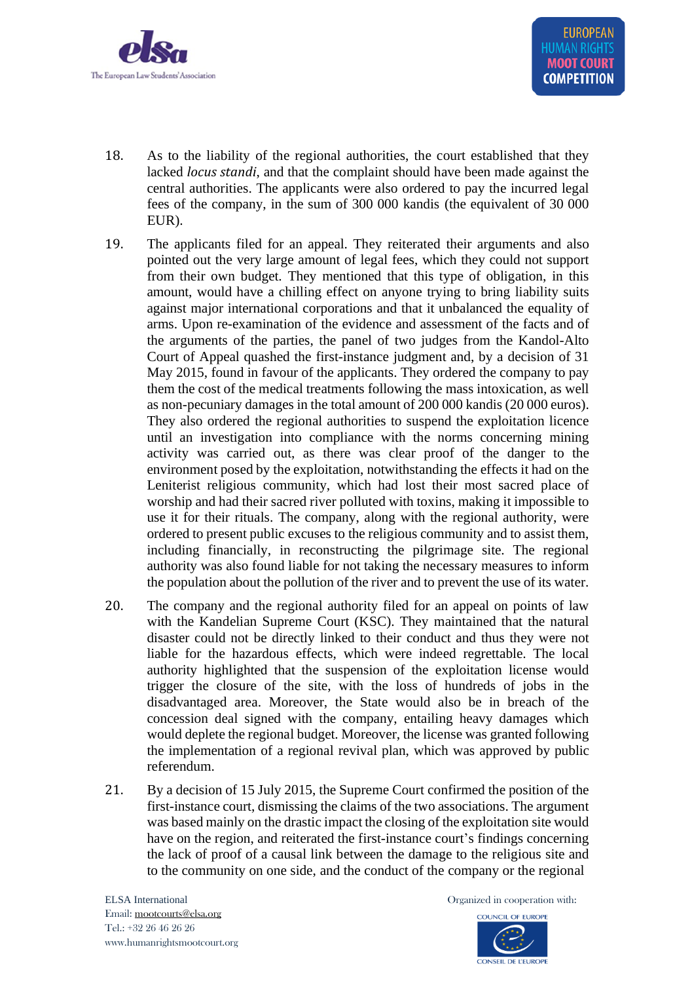

- 18. As to the liability of the regional authorities, the court established that they lacked *locus standi*, and that the complaint should have been made against the central authorities. The applicants were also ordered to pay the incurred legal fees of the company, in the sum of 300 000 kandis (the equivalent of 30 000 EUR).
- 19. The applicants filed for an appeal. They reiterated their arguments and also pointed out the very large amount of legal fees, which they could not support from their own budget. They mentioned that this type of obligation, in this amount, would have a chilling effect on anyone trying to bring liability suits against major international corporations and that it unbalanced the equality of arms. Upon re-examination of the evidence and assessment of the facts and of the arguments of the parties, the panel of two judges from the Kandol-Alto Court of Appeal quashed the first-instance judgment and, by a decision of 31 May 2015, found in favour of the applicants. They ordered the company to pay them the cost of the medical treatments following the mass intoxication, as well as non-pecuniary damages in the total amount of 200 000 kandis (20 000 euros). They also ordered the regional authorities to suspend the exploitation licence until an investigation into compliance with the norms concerning mining activity was carried out, as there was clear proof of the danger to the environment posed by the exploitation, notwithstanding the effects it had on the Leniterist religious community, which had lost their most sacred place of worship and had their sacred river polluted with toxins, making it impossible to use it for their rituals. The company, along with the regional authority, were ordered to present public excuses to the religious community and to assist them, including financially, in reconstructing the pilgrimage site. The regional authority was also found liable for not taking the necessary measures to inform the population about the pollution of the river and to prevent the use of its water.
- 20. The company and the regional authority filed for an appeal on points of law with the Kandelian Supreme Court (KSC). They maintained that the natural disaster could not be directly linked to their conduct and thus they were not liable for the hazardous effects, which were indeed regrettable. The local authority highlighted that the suspension of the exploitation license would trigger the closure of the site, with the loss of hundreds of jobs in the disadvantaged area. Moreover, the State would also be in breach of the concession deal signed with the company, entailing heavy damages which would deplete the regional budget. Moreover, the license was granted following the implementation of a regional revival plan, which was approved by public referendum.
- 21. By a decision of 15 July 2015, the Supreme Court confirmed the position of the first-instance court, dismissing the claims of the two associations. The argument was based mainly on the drastic impact the closing of the exploitation site would have on the region, and reiterated the first-instance court's findings concerning the lack of proof of a causal link between the damage to the religious site and to the community on one side, and the conduct of the company or the regional

ELSA International **Calcular Contract Contract Contract Contract Contract Contract Contract Contract Contract Contract Contract Contract Contract Contract Contract Contract Contract Contract Contract Contract Contract Cont**